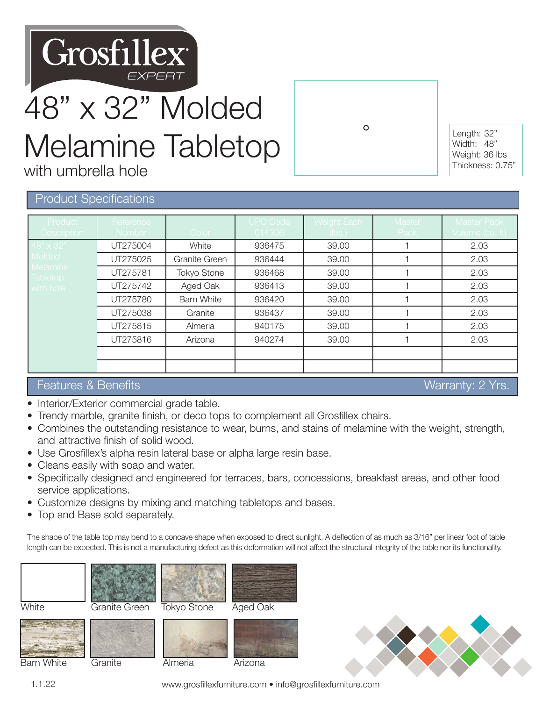## 48" x 32" Molded Melamine Tabletop

Grosfillex

 $\circ$ 

Length: 32" Width: 48" Weight: 36 lbs Thickness: 0.75"

with umbrella hole

## Features & Benefits Warranty: 2 Yrs. Product Specifications Number **Color** UT275004 | White | 936475 | 39.00 | 1 | 2.03 UT275025 | Granite Green | 936444 | 39.00 | 1 | 2.03 UT275781 | Tokyo Stone | 936468 | 39.00 | 1 | 2.03 UT275742 | Aged Oak | 936413 | 39.00 | 1 | 2.03 UT275780 | Barn White | 936420 | 39.00 | 1 | 2.03 UT275038 | Granite | 936437 | 39.00 | 1 | 2.03 UT275815 | Almeria | 940175 | 39.00 | 1 | 2.03 UT275816 | Arizona | 940274 | 39.00 | 1 | 2.03

- Interior/Exterior commercial grade table.
- Trendy marble, granite finish, or deco tops to complement all Grosfillex chairs.
- Combines the outstanding resistance to wear, burns, and stains of melamine with the weight, strength, and attractive finish of solid wood.
- Use Grosfillex's alpha resin lateral base or alpha large resin base.
- Cleans easily with soap and water.
- Specifically designed and engineered for terraces, bars, concessions, breakfast areas, and other food service applications.
- Customize designs by mixing and matching tabletops and bases.
- Top and Base sold separately.

The shape of the table top may bend to a concave shape when exposed to direct sunlight. A deflection of as much as 3/16" per linear foot of table length can be expected. This is not a manufacturing defect as this deformation will not affect the structural integrity of the table nor its functionality.











Barn White Granite **Almeria** Arizona

1.1.22

www.grosfillexfurniture.com • info@grosfillexfurniture.com